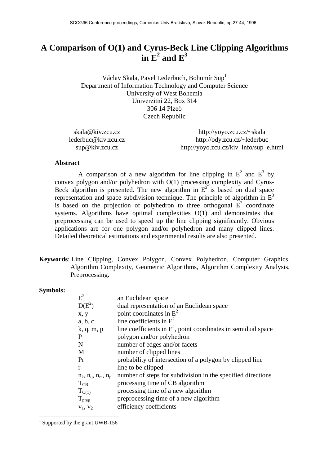# **A Comparison of O(1) and Cyrus-Beck Line Clipping Algorithms**  in  $E^2$  and  $E^3$

Václav Skala, Pavel Lederbuch, Bohumír Sup1 Department of Information Technology and Computer Science University of West Bohemia Univerzitní 22, Box 314 306 14 Plzeò Czech Republic

| skala@kiv.zcu.cz    | http://yoyo.zcu.cz/~skala              |
|---------------------|----------------------------------------|
| lederbuc@kiv.zcu.cz | http://ody.zcu.cz/~lederbuc            |
| sup@kiv.zcu.cz      | http://yoyo.zcu.cz/kiv_info/sup_e.html |

#### **Abstract**

A comparison of a new algorithm for line clipping in  $E^2$  and  $E^3$  by convex polygon and/or polyhedron with O(1) processing complexity and Cyrus-Beck algorithm is presented. The new algorithm in  $E^2$  is based on dual space representation and space subdivision technique. The principle of algorithm in  $E<sup>3</sup>$ is based on the projection of polyhedron to three orthogonal  $\overline{E}^2$  coordinate systems. Algorithms have optimal complexities O(1) and demonstrates that preprocessing can be used to speed up the line clipping significantly. Obvious applications are for one polygon and/or polyhedron and many clipped lines. Detailed theoretical estimations and experimental results are also presented.

**Keywords**: Line Clipping, Convex Polygon, Convex Polyhedron, Computer Graphics, Algorithm Complexity, Geometric Algorithms, Algorithm Complexity Analysis, Preprocessing.

### **Symbols:**

| $E^2$                         | an Euclidean space                                               |
|-------------------------------|------------------------------------------------------------------|
| $D(E^2)$                      | dual representation of an Euclidean space                        |
| x, y                          | point coordinates in $E^2$                                       |
| a, b, c                       | line coefficients in $E^2$                                       |
| k, q, m, p                    | line coefficients in $E^2$ , point coordinates in semidual space |
| $\mathbf{P}$                  | polygon and/or polyhedron                                        |
| N                             | number of edges and/or facets                                    |
| M                             | number of clipped lines                                          |
| Pr                            | probability of intersection of a polygon by clipped line         |
| r                             | line to be clipped                                               |
| $n_k$ , $n_q$ , $n_m$ , $n_p$ | number of steps for subdivision in the specified directions      |
| $T_{CB}$                      | processing time of CB algorithm                                  |
| T <sub>O(1)</sub>             | processing time of a new algorithm                               |
| $T_{\text{prep}}$             | preprocessing time of a new algorithm                            |
| $v_1, v_2$                    | efficiency coefficients                                          |
|                               |                                                                  |

<sup>&</sup>lt;sup>1</sup> Supported by the grant UWB-156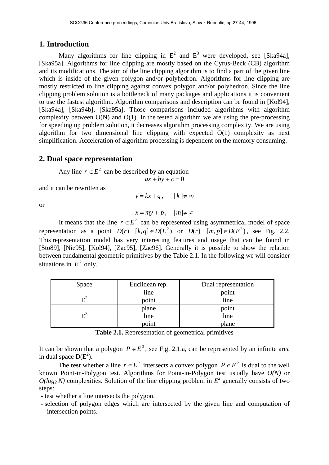## **1. Introduction**

Many algorithms for line clipping in  $E^2$  and  $E^3$  were developed, see [Ska94a], [Ska95a]. Algorithms for line clipping are mostly based on the Cyrus-Beck (CB) algorithm and its modifications. The aim of the line clipping algorithm is to find a part of the given line which is inside of the given polygon and/or polyhedron. Algorithms for line clipping are mostly restricted to line clipping against convex polygon and/or polyhedron. Since the line clipping problem solution is a bottleneck of many packages and applications it is convenient to use the fastest algorithm. Algorithm comparisons and description can be found in [Kol94], [Ska94a], [Ska94b], [Ska95a]. Those comparisons included algorithms with algorithm complexity between  $O(N)$  and  $O(1)$ . In the tested algorithm we are using the pre-processing for speeding up problem solution, it decreases algorithm processing complexity. We are using algorithm for two dimensional line clipping with expected O(1) complexity as next simplification. Acceleration of algorithm processing is dependent on the memory consuming.

## **2. Dual space representation**

Any line  $r \in E^2$  can be described by an equation  $ax + by + c = 0$ 

and it can be rewritten as

 $y = kx + q$ ,  $|k| \neq \infty$ 

or

 $x = mv + p$ ,  $|m| \neq \infty$ 

It means that the line  $r \in E^2$  can be represented using asymmetrical model of space representation as a point  $D(r) = [k, q] \in D(E^2)$  or  $D(r) = [m, p] \in D(E^2)$ , see Fig. 2.2. This representation model has very interesting features and usage that can be found in [Sto89], [Nie95], [Kol94], [Zac95], [Zac96]. Generally it is possible to show the relation between fundamental geometric primitives by the Table 2.1. In the following we will consider situations in  $E^2$  only.

| Space                       | Euclidean rep. | Dual representation |
|-----------------------------|----------------|---------------------|
|                             | line           | point               |
|                             | point          | line                |
|                             | plane          | point               |
| $\mathbf{E}^{\mathfrak{a}}$ | line           | line                |
|                             | point          | plane               |

**Table 2.1.** Representation of geometrical primitives

It can be shown that a polygon  $P \in E^2$ , see Fig. 2.1.a, can be represented by an infinite area in dual space  $D(E^2)$ .

The **test** whether a line  $r \in E^2$  intersects a convex polygon  $P \in E^2$  is dual to the well known Point-in-Polygon test. Algorithms for Point-in-Polygon test usually have *O(N)* or  $O(log_2 N)$  complexities. Solution of the line clipping problem in  $E^2$  generally consists of two steps:

- test whether a line intersects the polygon.

 - selection of polygon edges which are intersected by the given line and computation of intersection points.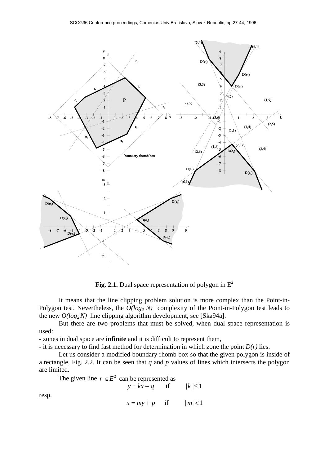

**Fig. 2.1.** Dual space representation of polygon in  $E^2$ 

 It means that the line clipping problem solution is more complex than the Point-in-Polygon test. Nevertheless, the  $O(log_2 N)$  complexity of the Point-in-Polygon test leads to the new  $O(log_2 N)$  line clipping algorithm development, see [Ska94a].

 But there are two problems that must be solved, when dual space representation is used:

- zones in dual space are **infinite** and it is difficult to represent them,

- it is necessary to find fast method for determination in which zone the point *D(r)* lies.

 Let us consider a modified boundary rhomb box so that the given polygon is inside of a rectangle, Fig. 2.2. It can be seen that *q* and *p* values of lines which intersects the polygon are limited.

The given line  $r \in E^2$  can be represented as

| $y = kx + q$ | if | $ k  \leq 1$ |
|--------------|----|--------------|
|--------------|----|--------------|

resp.

 $x = my + p$  if  $|m| < 1$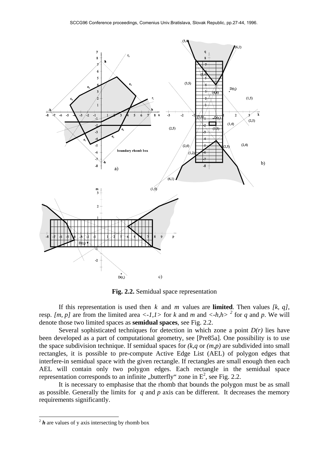

**Fig. 2.2.** Semidual space representation

If this representation is used then  $k$  and  $m$  values are **limited**. Then values  $[k, q]$ , resp. *[m, p]* are from the limited area  $\langle -1,1 \rangle$  for *k* and *m* and  $\langle -h,h \rangle$ <sup>2</sup> for *q* and *p*. We will denote those two limited spaces as **semidual spaces**, see Fig. 2.2.

Several sophisticated techniques for detection in which zone a point  $D(r)$  lies have been developed as a part of computational geometry, see [Pre85a]. One possibility is to use the space subdivision technique. If semidual spaces for *(k,q* or *(m,p)* are subdivided into small rectangles, it is possible to pre-compute Active Edge List (AEL) of polygon edges that interfere-in semidual space with the given rectangle. If rectangles are small enough then each AEL will contain only two polygon edges. Each rectangle in the semidual space representation corresponds to an infinite "butterfly" zone in  $E^2$ , see Fig. 2.2.

 It is necessary to emphasise that the rhomb that bounds the polygon must be as small as possible. Generally the limits for *q* and *p* axis can be different. It decreases the memory requirements significantly.

-

 $2 h$  are values of y axis intersecting by rhomb box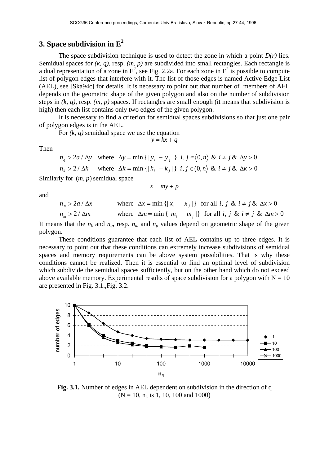## **3. Space subdivision in E<sup>2</sup>**

The space subdivision technique is used to detect the zone in which a point  $D(r)$  lies. Semidual spaces for *(k, q)*, resp. *(m, p)* are subdivided into small rectangles. Each rectangle is a dual representation of a zone in  $E^2$ , see Fig. 2.2a. For each zone in  $E^2$  is possible to compute list of polygon edges that interfere with it. The list of those edges is named Active Edge List (AEL), see [Ska94c] for details. It is necessary to point out that number of members of AEL depends on the geometric shape of the given polygon and also on the number of subdivision steps in *(k, q)*, resp. *(m, p)* spaces. If rectangles are small enough (it means that subdivision is high) then each list contains only two edges of the given polygon.

 It is necessary to find a criterion for semidual spaces subdivisions so that just one pair of polygon edges is in the AEL.

For *(k, q)* semidual space we use the equation

$$
y = kx + q
$$

Then

$$
n_q > 2a / \Delta y \quad \text{where} \quad \Delta y = \min \{ |y_i - y_j| \} \quad i, j \in \langle 0, n \rangle \quad \& \quad i \neq j \quad \& \quad \Delta y > 0
$$
\n
$$
n_k > 2 / \Delta k \quad \text{where} \quad \Delta k = \min \{ |k_i - k_j| \} \quad i, j \in \langle 0, n \rangle \quad \& \quad i \neq j \quad \& \quad \Delta k > 0
$$

Similarly for  $(m, p)$  semidual space

$$
x = my + p
$$

and

$$
n_p > 2a / \Delta x \qquad \text{where } \Delta x = \min\left\{ |x_i - x_j| \right\} \text{ for all } i, j \& i \neq j \& \Delta x > 0
$$
  

$$
n_m > 2 / \Delta m \qquad \text{where } \Delta m = \min\left\{ |m_i - m_j| \right\} \text{ for all } i, j \& i \neq j \& \Delta m > 0
$$

It means that the  $n_k$  and  $n_q$ , resp.  $n_m$  and  $n_p$  values depend on geometric shape of the given polygon.

 These conditions guarantee that each list of AEL contains up to three edges. It is necessary to point out that these conditions can extremely increase subdivisions of semidual spaces and memory requirements can be above system possibilities. That is why these conditions cannot be realized. Then it is essential to find an optimal level of subdivision which subdivide the semidual spaces sufficiently, but on the other hand which do not exceed above available memory. Experimental results of space subdivision for a polygon with  $N = 10$ are presented in Fig. 3.1.,Fig. 3.2.



**Fig. 3.1.** Number of edges in AEL dependent on subdivision in the direction of q  $(N = 10, n_k \text{ is } 1, 10, 100 \text{ and } 1000)$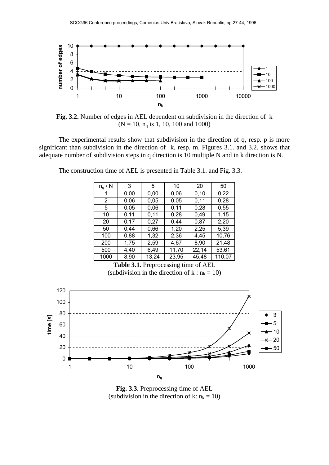

**Fig. 3.2.** Number of edges in AEL dependent on subdivision in the direction of k  $(N = 10, n<sub>q</sub>$  is 1, 10, 100 and 1000)

 The experimental results show that subdivision in the direction of q, resp. p is more significant than subdivision in the direction of k, resp. m. Figures 3.1. and 3.2. shows that adequate number of subdivision steps in q direction is 10 multiple N and in k direction is N.

| $n_q \setminus N$ | 3    | 5     | 10    | 20    | 50     |
|-------------------|------|-------|-------|-------|--------|
| 1                 | 0,00 | 0,00  | 0,06  | 0, 10 | 0,22   |
| 2                 | 0,06 | 0,05  | 0,05  | 0,11  | 0,28   |
| 5                 | 0,05 | 0,06  | 0,11  | 0,28  | 0,55   |
| 10                | 0,11 | 0,11  | 0,28  | 0,49  | 1,15   |
| 20                | 0,17 | 0,27  | 0,44  | 0,87  | 2,20   |
| 50                | 0,44 | 0,66  | 1,20  | 2,25  | 5,39   |
| 100               | 0,88 | 1,32  | 2,36  | 4,45  | 10,76  |
| 200               | 1,75 | 2,59  | 4,67  | 8,90  | 21,48  |
| 500               | 4,40 | 6,49  | 11,70 | 22,14 | 53,61  |
| 1000              | 8,90 | 13,24 | 23,95 | 45,48 | 110,07 |

The construction time of AEL is presented in Table 3.1. and Fig. 3.3.

**Table 3.1.** Preprocessing time of AEL (subdivision in the direction of  $k : n_k = 10$ )



**Fig. 3.3.** Preprocessing time of AEL (subdivision in the direction of k:  $n_k = 10$ )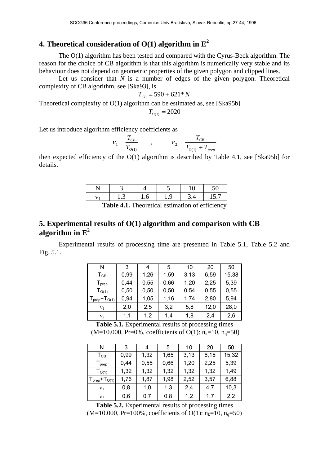## **4. Theoretical consideration of O(1) algorithm in E<sup>2</sup>**

 The O(1) algorithm has been tested and compared with the Cyrus-Beck algorithm. The reason for the choice of CB algorithm is that this algorithm is numerically very stable and its behaviour does not depend on geometric properties of the given polygon and clipped lines.

Let us consider that *N* is a number of edges of the given polygon. Theoretical complexity of CB algorithm, see [Ska93], is

$$
T_{CB} = 590 + 621 * N
$$

Theoretical complexity of O(1) algorithm can be estimated as, see [Ska95b]

$$
T_{O(1)} = 2020
$$

Let us introduce algorithm efficiency coefficients as

$$
V_1 = \frac{T_{CB}}{T_{O(1)}} \qquad , \qquad V_2 = \frac{T_{CB}}{T_{O(1)} + T_{prep}}
$$

then expected efficiency of the O(1) algorithm is described by Table 4.1, see [Ska95b] for details.

|                                        | ل. ا |  |  |  |  |  |  |
|----------------------------------------|------|--|--|--|--|--|--|
| $\mathbf{r} \mathbf{r}$ .<br>T1.1.44T1 |      |  |  |  |  |  |  |

Table 4.1. Theoretical estimation of efficiency

## **5. Experimental results of O(1) algorithm and comparison with CB algorithm in E<sup>2</sup>**

 Experimental results of processing time are presented in Table 5.1, Table 5.2 and Fig. 5.1.

| N                                         | 3    | 4    | 5    | 10   | 20   | 50    |
|-------------------------------------------|------|------|------|------|------|-------|
| Тсв                                       | 0,99 | 1,26 | 1,59 | 3,13 | 6,59 | 15,38 |
| ${\mathsf T}_{\mathsf{prep}}$             | 0,44 | 0,55 | 0,66 | 1,20 | 2,25 | 5,39  |
| T <sub>O(1)</sub>                         | 0,50 | 0,50 | 0,50 | 0,54 | 0,55 | 0,55  |
| $T_{\mathsf{prep}}$ + $T_{\mathrm{O(1)}}$ | 0,94 | 1,05 | 1,16 | 1,74 | 2,80 | 5,94  |
| $v_1$                                     | 2,0  | 2,5  | 3,2  | 5,8  | 12,0 | 28,0  |
| v <sub>2</sub>                            | 1,1  | 1,2  | 1,4  | 1,8  | 2,4  | 2,6   |

**Table 5.1.** Experimental results of processing times  $(M=10.000, Pr=0\%, coefficients of O(1): n_k=10, n_q=50)$ 

| N                             | 3    |      | 5    | 10   | 20   | 50    |
|-------------------------------|------|------|------|------|------|-------|
| $\mathsf{T}_{\texttt{CB}}$    | 0,99 | 1,32 | 1,65 | 3,13 | 6,15 | 15,32 |
| ${\mathsf T}_{\mathsf{prep}}$ | 0,44 | 0,55 | 0,66 | 1,20 | 2,25 | 5,39  |
| T <sub>O(1)</sub>             | 1,32 | 1,32 | 1,32 | 1,32 | 1,32 | 1,49  |
| $T_{prep}+T_{O(1)}$           | 1,76 | 1,87 | 1,98 | 2,52 | 3,57 | 6,88  |
| V <sub>1</sub>                | 0,8  | 1,0  | 1,3  | 2,4  | 4.7  | 10,3  |
| $v_2$                         | 0,6  | 0,7  | 0,8  | 1,2  | 1.7  | 2,2   |

**Table 5.2.** Experimental results of processing times

(M=10.000, Pr=100%, coefficients of O(1):  $n_k$ =10,  $n_q$ =50)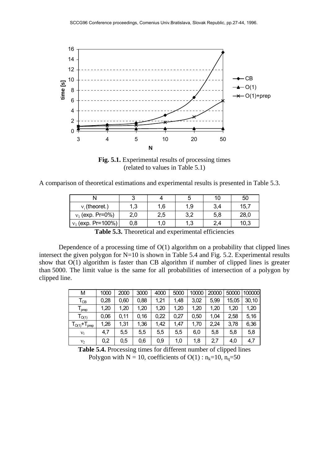

**Fig. 5.1.** Experimental results of processing times (related to values in Table 5.1)

| A comparison of theoretical estimations and experimental results is presented in Table 5.3. |  |  |  |
|---------------------------------------------------------------------------------------------|--|--|--|
|---------------------------------------------------------------------------------------------|--|--|--|

|                      |     |     |     |     | 50   |
|----------------------|-----|-----|-----|-----|------|
| $v_{1}$ (theoret.)   | 1,3 | 1,6 | 1.9 | 3,4 | 15,7 |
| $v_1$ (exp. Pr=0%)   | 2,0 | 2,5 | 3,2 | 5,8 | 28,0 |
| $v_1$ (exp. Pr=100%) | 0,8 |     | 1,3 | 2.4 | 10,3 |

**Table 5.3.** Theoretical and experimental efficiencies

Dependence of a processing time of  $O(1)$  algorithm on a probability that clipped lines intersect the given polygon for N=10 is shown in Table 5.4 and Fig. 5.2. Experimental results show that O(1) algorithm is faster than CB algorithm if number of clipped lines is greater than 5000. The limit value is the same for all probabilities of intersection of a polygon by clipped line.

| М                            | 1000 | 2000 | 3000  | 4000 | 5000 | 10000 | 20000 | 50000 | 100000 |
|------------------------------|------|------|-------|------|------|-------|-------|-------|--------|
| $T_{CB}$                     | 0,28 | 0,60 | 0,88  | 1,21 | 1,48 | 3,02  | 5,99  | 15,05 | 30, 10 |
| prep                         | 1,20 | 1,20 | 1,20  | 1,20 | 1,20 | 1,20  | 1,20  | 1,20  | 1,20   |
| $\mathsf{T}_{\mathsf{O}(1)}$ | 0,06 | 0,11 | 0, 16 | 0,22 | 0,27 | 0,50  | 1.04  | 2,58  | 5,16   |
| $TO(1)+Tprep$                | 1,26 | 1,31 | 1,36  | 1,42 | 1,47 | 1,70  | 2,24  | 3,78  | 6,36   |
| $v_1$                        | 4,7  | 5,5  | 5,5   | 5,5  | 5,5  | 6,0   | 5,8   | 5,8   | 5,8    |
| $V_2$                        | 0,2  | 0,5  | 0,6   | 0,9  | 1,0  | 1,8   | 2,7   | 4,0   | 4,7    |

**Table 5.4.** Processing times for different number of clipped lines Polygon with N = 10, coefficients of O(1) :  $n_k=10$ ,  $n_q=50$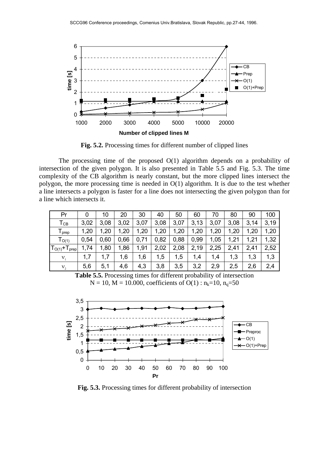

**Fig. 5.2.** Processing times for different number of clipped lines

The processing time of the proposed  $O(1)$  algorithm depends on a probability of intersection of the given polygon. It is also presented in Table 5.5 and Fig. 5.3. The time complexity of the CB algorithm is nearly constant, but the more clipped lines intersect the polygon, the more processing time is needed in O(1) algorithm. It is due to the test whether a line intersects a polygon is faster for a line does not intersecting the given polygon than for a line which intersects it.

| Pr                            | 0    | 10   | 20   | 30   | 40   | 50   | 60   | 70   | 80   | 90   | 100  |
|-------------------------------|------|------|------|------|------|------|------|------|------|------|------|
| $\mathsf{T}_{\texttt{CB}}$    | 3,02 | 3,08 | 3,02 | 3,07 | 3,08 | 3,07 | 3,13 | 3,07 | 3,08 | 3,14 | 3,19 |
| ${\mathsf T}_{\mathsf{prep}}$ | 1,20 | 1,20 | 1,20 | 1,20 | 1,20 | 1,20 | 1,20 | 1,20 | 1,20 | 1,20 | 1,20 |
| T <sub>O(1)</sub>             | 0,54 | 0,60 | 0,66 | 0,71 | 0,82 | 0,88 | 0,99 | 1,05 | 1,21 | 1,21 | 1,32 |
| $T_{O(1)}$ + $T_{prep}$       | 1,74 | 1,80 | 1,86 | 1,91 | 2,02 | 2,08 | 2,19 | 2,25 | 2,41 | 2,41 | 2,52 |
| $V_{1}$                       | 1,7  | 1,7  | 1,6  | 1,6  | 1,5  | 1,5  | 1,4  | 1,4  | 1,3  | 1,3  | 1,3  |
| $V_2$                         | 5,6  | 5,1  | 4,6  | 4,3  | 3,8  | 3,5  | 3,2  | 2,9  | 2,5  | 2,6  | 2,4  |

**Table 5.5.** Processing times for different probability of intersection  $N = 10$ ,  $M = 10.000$ , coefficients of  $O(1)$ :  $n_k=10$ ,  $n_q=50$ 



**Fig. 5.3.** Processing times for different probability of intersection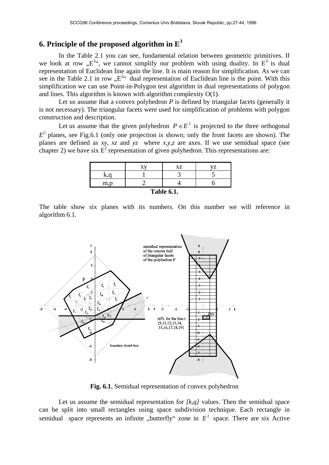## **6. Principle of the proposed algorithm in E<sup>3</sup>**

 In the Table 2.1 you can see, fundamental relation between geometric primitives. If we look at row " $E^{3}$ ", we cannot simplify our problem with using duality. In  $E^3$  is dual representation of Euclidean line again the line. It is main reason for simplification. As we can see in the Table 2.1 in row  $E^{24}$  dual representation of Euclidean line is the point. With this simplification we can use Point-in-Polygon test algorithm in dual representations of polygon and lines. This algorithm is known with algorithm complexity O(1).

Let us assume that a convex polyhedron *P* is defined by triangular facets (generally it is not necessary). The triangular facets were used for simplification of problems with polygon construction and description.

Let us assume that the given polyhedron  $P \in E^3$  is projected to the three orthogonal  $E<sup>2</sup>$  planes, see Fig.6.1 (only one projection is shown; only the front facets are shown). The planes are defined as *xy*, *xz* and *yz* where *x,y,z* are axes. If we use semidual space (see chapter 2) we have six  $E^2$  representation of given polyhedron. This representations are:

|                   |  | XZ | 77 |  |
|-------------------|--|----|----|--|
|                   |  |    |    |  |
| m.p               |  |    |    |  |
| <b>Table 6.1.</b> |  |    |    |  |

The table show six planes with its numbers. On this number we will reference in algorithm 6.1.



**Fig. 6.1.** Semidual representation of convex polyhedron

Let us assume the semidual representation for *[k,q]* values. Then the semidual space can be split into small rectangles using space subdivision technique. Each rectangle in semidual space represents an infinite "butterfly" zone in  $E<sup>2</sup>$  space. There are six Active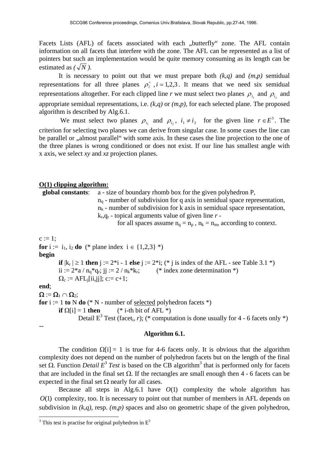Facets Lists (AFL) of facets associated with each "butterfly" zone. The AFL contain information on all facets that interfere with the zone. The AFL can be represented as a list of pointers but such an implementation would be quite memory consuming as its length can be estimated as  $(\sqrt{N})$ .

It is necessary to point out that we must prepare both  $(k,q)$  and  $(m,p)$  semidual representations for all three planes  $\rho_i^+$ ,  $i = 1, 2, 3$ . It means that we need six semidual representations altogether. For each clipped line *r* we must select two planes  $\rho_{i_1}$  and  $\rho_{i_2}$  and appropriate semidual representations, i.e. *(k,q)* or *(m,p)*, for each selected plane. The proposed algorithm is described by Alg.6.1.

We must select two planes  $\rho_{i_1}$  and  $\rho_{i_2}$ ,  $i_1 \neq i_2$  for the given line  $r \in E^3$ . The criterion for selecting two planes we can derive from singular case. In some cases the line can be parallel or "almost parallel" with some axis. In these cases the line projection to the one of the three planes is wrong conditioned or does not exist. If our line has smallest angle with x axis, we select *xy* and *xz* projection planes.

#### **O(1) clipping algorithm:**

 **global constants**: a - size of boundary rhomb box for the given polyhedron P,  $n_q$  - number of subdivision for q axis in semidual space representation,  $n_k$  - number of subdivision for k axis in semidual space representation, kr,qr - topical arguments value of given line *r* for all spaces assume  $n_q = n_p$ ,  $n_k = n_m$ , according to context.  $c := 1$ ; **for**  $i := i_1, i_2$  **do** (\* plane index  $i \in \{1,2,3\}$  \*) **begin if**  $|k_r| \ge 1$  **then** j := 2<sup>\*</sup>i - 1 **else** j := 2<sup>\*</sup>i; (<sup>\*</sup> j is index of the AFL - see Table 3.1 <sup>\*</sup>) ii :=  $2*a / n_a*q_r$ ; ji :=  $2 / n_k*k_r$ ; (\* index zone determination \*)  $\Omega_c := \text{AFL}_{i}[ii,jj]; c:= c+1;$ **end**;  $\Omega := \Omega_1 \cap \Omega_2;$ **for**  $i := 1$  **to**  $N$  **do** (\*  $N$  - number of selected polyhedron facets \*) **if**  $\Omega[i] = 1$  **then** (\* i-th bit of AFL \*) Detail  $E^3$  Test (facet<sub>i</sub>, *r*); (\* computation is done usually for 4 - 6 facets only \*) --

#### **Algorithm 6.1.**

The condition  $\Omega[i] = 1$  is true for 4-6 facets only. It is obvious that the algorithm complexity does not depend on the number of polyhedron facets but on the length of the final set  $\Omega$ . Function *Detail*  $E^3$  *Test* is based on the CB algorithm<sup>3</sup> that is performed only for facets that are included in the final set  $Ω$ . If the rectangles are small enough then 4 - 6 facets can be expected in the final set  $\Omega$  nearly for all cases.

Because all steps in Alg.6.1 have  $O(1)$  complexity the whole algorithm has *O*(1) complexity, too. It is necessary to point out that number of members in AFL depends on subdivision in *(k,q)*, resp. *(m,p)* spaces and also on geometric shape of the given polyhedron,

 $\frac{3}{3}$ This test is practise for original polyhedron in  $E^3$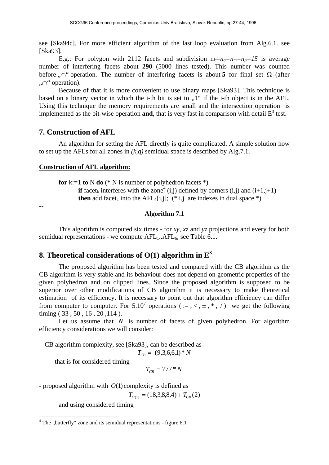see [Ska94c]. For more efficient algorithm of the last loop evaluation from Alg.6.1. see [Ska93].

E.g.: For polygon with 2112 facets and subdivision  $n_k=n_a=n_m=n_p=15$  is average number of interfering facets about **290** (5000 lines tested). This number was counted before "
n" operation. The number of interfering facets is about **5** for final set  $\Omega$  (after ∴∩" operation).

 Because of that it is more convenient to use binary maps [Ska93]. This technique is based on a binary vector in which the i-th bit is set to  $.1$ " if the i-th object is in the AFL. Using this technique the memory requirements are small and the intersection operation is implemented as the bit-wise operation **and**, that is very fast in comparison with detail  $E<sup>3</sup>$  test.

### **7. Construction of AFL**

 An algorithm for setting the AFL directly is quite complicated. A simple solution how to set up the AFLs for all zones in  $(k, q)$  semidual space is described by Alg.7.1.

#### **Construction of AFL algorithm:**

**for**  $k:=1$  **to**  $N$  **do** (\*  $N$  is number of polyhedron facets \*) **if** facet<sub>k</sub> interferes with the zone<sup>4</sup> (i,j) defined by corners (i,j) and (i+1,j+1) **then** add facet<sub>k</sub> into the AFL<sub>1</sub>[i,j]; (\* i,j are indexes in dual space \*)

#### --

#### **Algorithm 7.1**

 This algorithm is computed six times - for *xy*, *xz* and *yz* projections and every for both semidual representations - we compute  $AFL_1.AFL_6$ , see Table 6.1.

## **8. Theoretical considerations of O(1) algorithm in E<sup>3</sup>**

 The proposed algorithm has been tested and compared with the CB algorithm as the CB algorithm is very stable and its behaviour does not depend on geometric properties of the given polyhedron and on clipped lines. Since the proposed algorithm is supposed to be superior over other modifications of CB algorithm it is necessary to make theoretical estimation of its efficiency. It is necessary to point out that algorithm efficiency can differ from computer to computer. For 5.10<sup>7</sup> operations (:=, <,  $\pm$ ,  $\pm$ ,  $\pm$ ) we get the following timing ( 33 , 50 , 16 , 20 ,114 ).

Let us assume that *N* is number of facets of given polyhedron. For algorithm efficiency considerations we will consider:

- CB algorithm complexity, see [Ska93], can be described as

$$
T_{CB} = (9,3,6,6,1)*N
$$

that is for considered timing

$$
T_{\scriptscriptstyle CB}=777\ ^*\ N
$$

- proposed algorithm with  $O(1)$  complexity is defined as

$$
T_{O(1)} = (18,3,8,8,4) + T_{CB}(2)
$$

and using considered timing

The "butterfly" zone and its semidual representations - figure 6.1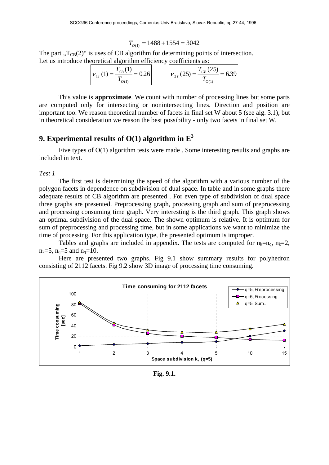$$
T_{O(1)} = 1488 + 1554 = 3042
$$

The part  $\Gamma_{\text{CB}}(2)$ " is uses of CB algorithm for determining points of intersection. Let us introduce theoretical algorithm efficiency coefficients as:

| $v_{1T}(1) = \frac{T_{CB}(1)}{T} = 0.26$ | $v_{2T}(25) = \frac{T_{CB}(25)}{T} = 6.39$ |  |
|------------------------------------------|--------------------------------------------|--|
|------------------------------------------|--------------------------------------------|--|

 This value is **approximate**. We count with number of processing lines but some parts are computed only for intersecting or nonintersecting lines. Direction and position are important too. We reason theoretical number of facets in final set W about 5 (see alg. 3.1), but in theoretical consideration we reason the best possibility - only two facets in final set W.

## **9. Experimental results of O(1) algorithm in**  $E^3$

Five types of  $O(1)$  algorithm tests were made. Some interesting results and graphs are included in text.

*Test 1* 

 The first test is determining the speed of the algorithm with a various number of the polygon facets in dependence on subdivision of dual space. In table and in some graphs there adequate results of CB algorithm are presented . For even type of subdivision of dual space three graphs are presented. Preprocessing graph, processing graph and sum of preprocessing and processing consuming time graph. Very interesting is the third graph. This graph shows an optimal subdivision of the dual space. The shown optimum is relative. It is optimum for sum of preprocessing and processing time, but in some applications we want to minimize the time of processing. For this application type, the presented optimum is improper.

Tables and graphs are included in appendix. The tests are computed for  $n_k=n_q$ ,  $n_k=2$ ,  $n_k = 5$ ,  $n_q = 5$  and  $n_q = 10$ .

 Here are presented two graphs. Fig 9.1 show summary results for polyhedron consisting of 2112 facets. Fig 9.2 show 3D image of processing time consuming.



**Fig. 9.1.**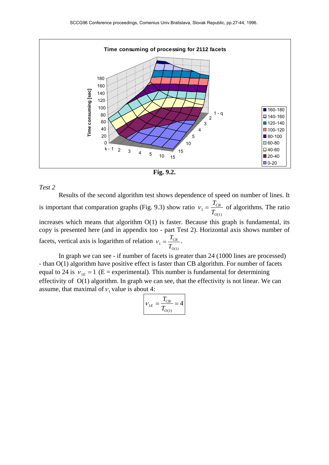

**Fig. 9.2.**

#### *Test 2*

Results of the second algorithm test shows dependence of speed on number of lines. It is important that comparation graphs (Fig. 9.3) show ratio  $v_1 = \frac{T}{T_c}$ *CB O*(1) of algorithms. The ratio increases which means that algorithm O(1) is faster. Because this graph is fundamental, its

copy is presented here (and in appendix too - part Test 2). Horizontal axis shows number of facets, vertical axis is logarithm of relation  $v_1 = \frac{T}{T_c}$ *CB* .

*O*(1)

 In graph we can see - if number of facets is greater than 24 (1000 lines are processed) - than O(1) algorithm have positive effect is faster than CB algorithm. For number of facets equal to 24 is  $v_{1E} = 1$  (E = experimental). This number is fundamental for determining effectivity of O(1) algorithm. In graph we can see, that the effectivity is not linear. We can assume, that maximal of  $v_1$  value is about 4:

$$
\nu_{1E} = \frac{T_{CB}}{T_{O(1)}} = 4
$$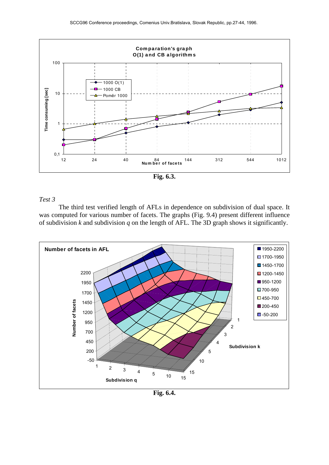

**Fig. 6.3.** 

#### *Test 3*

 The third test verified length of AFLs in dependence on subdivision of dual space. It was computed for various number of facets. The graphs (Fig. 9.4) present different influence of subdivision *k* and subdivision *q* on the length of AFL. The 3D graph shows it significantly.



**Fig. 6.4.**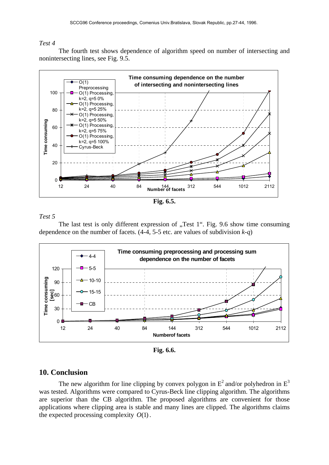#### *Test 4*

The fourth test shows dependence of algorithm speed on number of intersecting and nonintersecting lines, see Fig. 9.5.



**Fig. 6.5.** 

### *Test 5*

The last test is only different expression of  $n$ , Test 1". Fig. 9.6 show time consuming dependence on the number of facets.  $(4-4, 5-5$  etc. are values of subdivision  $k-q$ )



**Fig. 6.6.** 

## **10. Conclusion**

The new algorithm for line clipping by convex polygon in  $E^2$  and/or polyhedron in  $E^3$ was tested. Algorithms were compared to Cyrus-Beck line clipping algorithm. The algorithms are superior than the CB algorithm. The proposed algorithms are convenient for those applications where clipping area is stable and many lines are clipped. The algorithms claims the expected processing complexity  $O(1)$ .